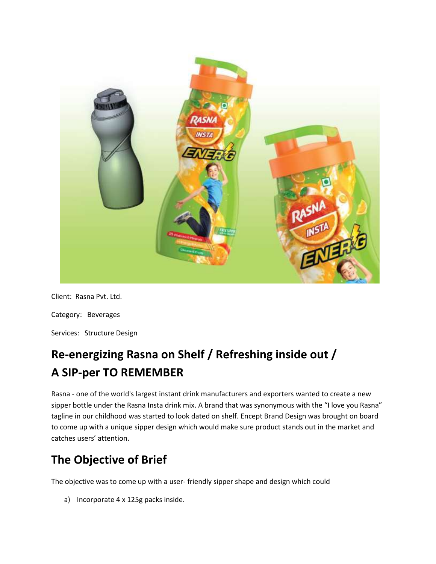

Client: Rasna Pvt. Ltd.

Category: Beverages

Services: Structure Design

# **Re-energizing Rasna on Shelf / Refreshing inside out / A SIP-per TO REMEMBER**

Rasna - one of the world's largest instant drink manufacturers and exporters wanted to create a new sipper bottle under the Rasna Insta drink mix. A brand that was synonymous with the "I love you Rasna" tagline in our childhood was started to look dated on shelf. Encept Brand Design was brought on board to come up with a unique sipper design which would make sure product stands out in the market and catches users' attention.

## **The Objective of Brief**

The objective was to come up with a user- friendly sipper shape and design which could

a) Incorporate 4 x 125g packs inside.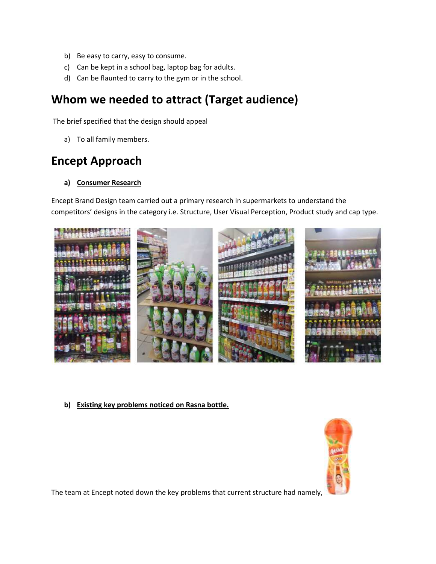- b) Be easy to carry, easy to consume.
- c) Can be kept in a school bag, laptop bag for adults.
- d) Can be flaunted to carry to the gym or in the school.

### **Whom we needed to attract (Target audience)**

The brief specified that the design should appeal

a) To all family members.

### **Encept Approach**

**a) Consumer Research**

Encept Brand Design team carried out a primary research in supermarkets to understand the competitors' designs in the category i.e. Structure, User Visual Perception, Product study and cap type.



**b) Existing key problems noticed on Rasna bottle.**



The team at Encept noted down the key problems that current structure had namely,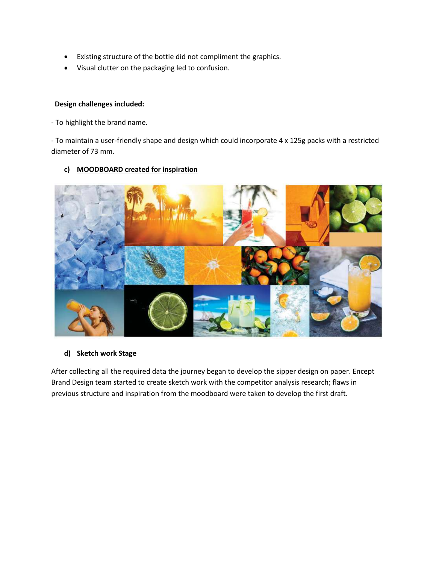- Existing structure of the bottle did not compliment the graphics.
- Visual clutter on the packaging led to confusion.

#### **Design challenges included:**

- To highlight the brand name.

- To maintain a user-friendly shape and design which could incorporate 4 x 125g packs with a restricted diameter of 73 mm.

#### **c) MOODBOARD created for inspiration**



#### **d) Sketch work Stage**

After collecting all the required data the journey began to develop the sipper design on paper. Encept Brand Design team started to create sketch work with the competitor analysis research; flaws in previous structure and inspiration from the moodboard were taken to develop the first draft.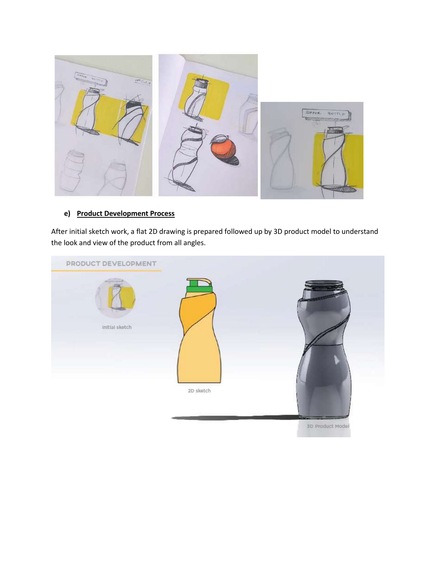

#### **e) Product Development Process**

After initial sketch work, a flat 2D drawing is prepared followed up by 3D product model to understand the look and view of the product from all angles.

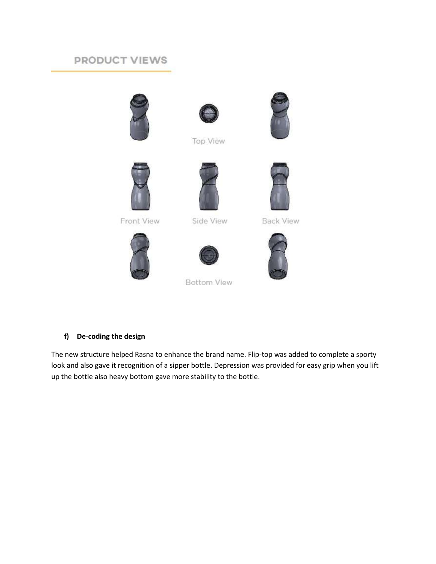### PRODUCT VIEWS





**Top View** 







Front View

Side View





**Bottom View** 

**Back View** 



f) De-coding the design

The new structure helped Rasna to enhance the brand name. Flip-top was added to complete a sporty look and also gave it recognition of a sipper bottle. Depression was provided for easy grip when you lift up the bottle also heavy bottom gave more stability to the bottle.